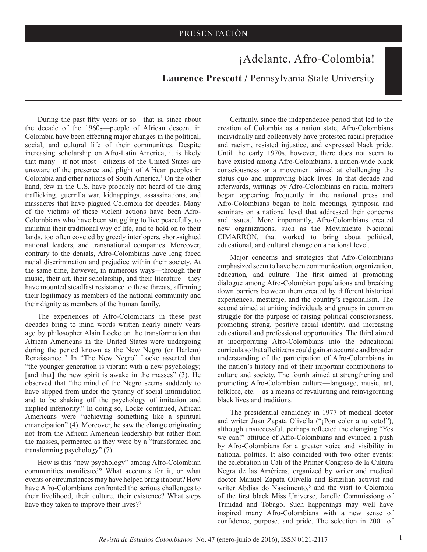## ¡Adelante, Afro-Colombia!

**Laurence Prescott /** Pennsylvania State University

During the past fifty years or so—that is, since about the decade of the 1960s—people of African descent in Colombia have been effecting major changes in the political, social, and cultural life of their communities. Despite increasing scholarship on Afro-Latin America, it is likely that many—if not most—citizens of the United States are unaware of the presence and plight of African peoples in Colombia and other nations of South America.<sup>1</sup> On the other hand, few in the U.S. have probably not heard of the drug trafficking, guerrilla war, kidnappings, assassinations, and massacres that have plagued Colombia for decades. Many of the victims of these violent actions have been Afro-Colombians who have been struggling to live peacefully, to maintain their traditional way of life, and to hold on to their lands, too often coveted by greedy interlopers, short-sighted national leaders, and transnational companies. Moreover, contrary to the denials, Afro-Colombians have long faced racial discrimination and prejudice within their society. At the same time, however, in numerous ways—through their music, their art, their scholarship, and their literature—they have mounted steadfast resistance to these threats, affirming their legitimacy as members of the national community and their dignity as members of the human family.

The experiences of Afro-Colombians in these past decades bring to mind words written nearly ninety years ago by philosopher Alain Locke on the transformation that African Americans in the United States were undergoing during the period known as the New Negro (or Harlem) Renaissance.<sup>2</sup> In "The New Negro" Locke asserted that "the younger generation is vibrant with a new psychology; [and that] the new spirit is awake in the masses" (3). He observed that "the mind of the Negro seems suddenly to have slipped from under the tyranny of social intimidation and to be shaking off the psychology of imitation and implied inferiority." In doing so, Locke continued, African Americans were "achieving something like a spiritual emancipation" (4). Moreover, he saw the change originating not from the African American leadership but rather from the masses, permeated as they were by a "transformed and transforming psychology" (7).

How is this "new psychology" among Afro-Colombian communities manifested? What accounts for it, or what events or circumstances may have helped bring it about? How have Afro-Colombians confronted the serious challenges to their livelihood, their culture, their existence? What steps have they taken to improve their lives?<sup>3</sup>

Certainly, since the independence period that led to the creation of Colombia as a nation state, Afro-Colombians individually and collectively have protested racial prejudice and racism, resisted injustice, and expressed black pride. Until the early 1970s, however, there does not seem to have existed among Afro-Colombians, a nation-wide black consciousness or a movement aimed at challenging the status quo and improving black lives. In that decade and afterwards, writings by Afro-Colombians on racial matters began appearing frequently in the national press and Afro-Colombians began to hold meetings, symposia and seminars on a national level that addressed their concerns and issues.4 More importantly, Afro-Colombians created new organizations, such as the Movimiento Nacional CIMARRÓN, that worked to bring about political, educational, and cultural change on a national level.

Major concerns and strategies that Afro-Colombians emphasized seem to have been communication, organization, education, and culture. The first aimed at promoting dialogue among Afro-Colombian populations and breaking down barriers between them created by different historical experiences, mestizaje, and the country's regionalism. The second aimed at uniting individuals and groups in common struggle for the purpose of raising political consciousness, promoting strong, positive racial identity, and increasing educational and professional opportunities. The third aimed at incorporating Afro-Colombians into the educational curricula so that all citizens could gain an accurate and broader understanding of the participation of Afro-Colombians in the nation's history and of their important contributions to culture and society. The fourth aimed at strengthening and promoting Afro-Colombian culture—language, music, art, folklore, etc.—as a means of revaluating and reinvigorating black lives and traditions.

The presidential candidacy in 1977 of medical doctor and writer Juan Zapata Olivella ("¡Pon color a tu voto!"), although unsuccessful, perhaps reflected the changing "Yes we can!" attitude of Afro-Colombians and evinced a push by Afro-Colombians for a greater voice and visibility in national politics. It also coincided with two other events: the celebration in Cali of the Primer Congreso de la Cultura Negra de las Américas, organized by writer and medical doctor Manuel Zapata Olivella and Brazilian activist and writer Abdias do Nascimento,<sup>5</sup> and the visit to Colombia of the first black Miss Universe, Janelle Commissiong of Trinidad and Tobago. Such happenings may well have inspired many Afro-Colombians with a new sense of confidence, purpose, and pride. The selection in 2001 of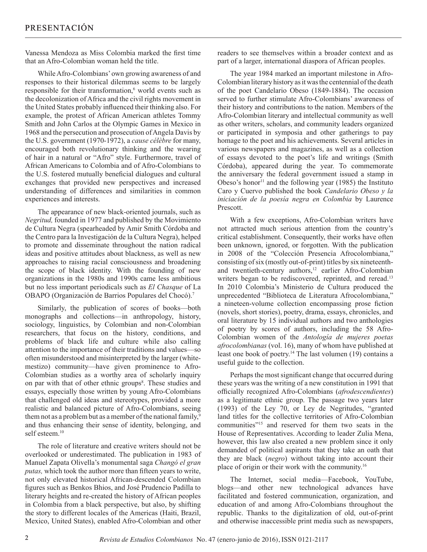Vanessa Mendoza as Miss Colombia marked the first time that an Afro-Colombian woman held the title.

While Afro-Colombians' own growing awareness of and responses to their historical dilemmas seems to be largely responsible for their transformation,<sup>6</sup> world events such as the decolonization of Africa and the civil rights movement in the United States probably influenced their thinking also. For example, the protest of African American athletes Tommy Smith and John Carlos at the Olympic Games in Mexico in 1968 and the persecution and prosecution of Angela Davis by the U.S. government (1970-1972), a *cause célèbre* for many, encouraged both revolutionary thinking and the wearing of hair in a natural or "Afro" style. Furthermore, travel of African Americans to Colombia and of Afro-Colombians to the U.S. fostered mutually beneficial dialogues and cultural exchanges that provided new perspectives and increased understanding of differences and similarities in common experiences and interests.

The appearance of new black-oriented journals, such as *Negritud,* founded in 1977 and published by the Movimiento de Cultura Negra (spearheaded by Amir Smith Córdoba and the Centro para la Investigación de la Cultura Negra), helped to promote and disseminate throughout the nation radical ideas and positive attitudes about blackness, as well as new approaches to raising racial consciousness and broadening the scope of black identity. With the founding of new organizations in the 1980s and 1990s came less ambitious but no less important periodicals such as *El Chasque* of La OBAPO (Organización de Barrios Populares del Chocó).7

Similarly, the publication of scores of books—both monographs and collections—in anthropology, history, sociology, linguistics, by Colombian and non-Colombian researchers, that focus on the history, conditions, and problems of black life and culture while also calling attention to the importance of their traditions and values—so often misunderstood and misinterpreted by the larger (whitemestizo) community—have given prominence to Afro-Colombian studies as a worthy area of scholarly inquiry on par with that of other ethnic groups<sup>8</sup>. These studies and essays, especially those written by young Afro-Colombians that challenged old ideas and stereotypes, provided a more realistic and balanced picture of Afro-Colombians, seeing them not as a problem but as a member of the national family,<sup>9</sup> and thus enhancing their sense of identity, belonging, and self esteem.<sup>10</sup>

The role of literature and creative writers should not be overlooked or underestimated. The publication in 1983 of Manuel Zapata Olivella's monumental saga *Changó el gran putas,* which took the author more than fifteen years to write, not only elevated historical African-descended Colombian figures such as Benkos Bhios, and José Prudencio Padilla to literary heights and re-created the history of African peoples in Colombia from a black perspective, but also, by shifting the story to different locales of the Americas (Haiti, Brazil, Mexico, United States), enabled Afro-Colombian and other

readers to see themselves within a broader context and as part of a larger, international diaspora of African peoples.

The year 1984 marked an important milestone in Afro-Colombian literary history as it was the centennial of the death of the poet Candelario Obeso (1849-1884). The occasion served to further stimulate Afro-Colombians' awareness of their history and contributions to the nation. Members of the Afro-Colombian literary and intellectual community as well as other writers, scholars, and community leaders organized or participated in symposia and other gatherings to pay homage to the poet and his achievements. Several articles in various newspapers and magazines, as well as a collection of essays devoted to the poet's life and writings (Smith Córdoba), appeared during the year. To commemorate the anniversary the federal government issued a stamp in Obeso's honor<sup>11</sup> and the following year (1985) the Instituto Caro y Cuervo published the book *Candelario Obeso y la iniciación de la poesía negra en Colombia* by Laurence Prescott.

With a few exceptions, Afro-Colombian writers have not attracted much serious attention from the country's critical establishment. Consequently, their works have often been unknown, ignored, or forgotten. With the publication in 2008 of the "Colección Presencia Afrocolombiana," consisting of six (mostly out-of-print) titles by six nineteenthand twentieth-century authors,<sup>12</sup> earlier Afro-Colombian writers began to be rediscovered, reprinted, and reread.<sup>13</sup> In 2010 Colombia's Ministerio de Cultura produced the unprecedented "Biblioteca de Literatura Afrocolombiana," a nineteen-volume collection encompassing prose fiction (novels, short stories), poetry, drama, essays, chronicles, and oral literature by 15 individual authors and two anthologies of poetry by scores of authors, including the 58 Afro-Colombian women of the *Antología de mujeres poetas afrocolombianas* (vol. 16), many of whom have published at least one book of poetry.<sup>14</sup> The last volumen (19) contains a useful guide to the collection.

Perhaps the most significant change that occurred during these years was the writing of a new constitution in 1991 that officially recognized Afro-Colombians (*afrodescendientes*) as a legitimate ethnic group. The passage two years later (1993) of the Ley 70, or Ley de Negritudes, "granted land titles for the collective territories of Afro-Colombian communities"15 and reserved for them two seats in the House of Representatives. According to leader Zulia Mena, however, this law also created a new problem since it only demanded of political aspirants that they take an oath that they are black (*negro*) without taking into account their place of origin or their work with the community.16

The Internet, social media—Facebook, YouTube, blogs—and other new technological advances have facilitated and fostered communication, organization, and education of and among Afro-Colombians throughout the republic. Thanks to the digitalization of old, out-of-print and otherwise inaccessible print media such as newspapers,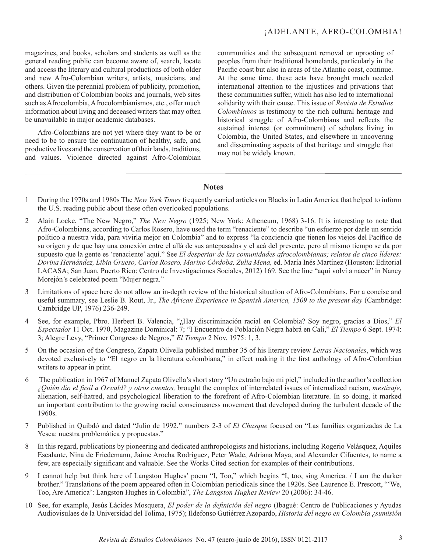magazines, and books, scholars and students as well as the general reading public can become aware of, search, locate and access the literary and cultural productions of both older and new Afro-Colombian writers, artists, musicians, and others. Given the perennial problem of publicity, promotion, and distribution of Colombian books and journals, web sites such as Afrocolombia, Afrocolombianismos, etc., offer much information about living and deceased writers that may often be unavailable in major academic databases.

Afro-Colombians are not yet where they want to be or need to be to ensure the continuation of healthy, safe, and productive lives and the conservation of their lands, traditions, and values. Violence directed against Afro-Colombian communities and the subsequent removal or uprooting of peoples from their traditional homelands, particularly in the Pacific coast but also in areas of the Atlantic coast, continue. At the same time, these acts have brought much needed international attention to the injustices and privations that these communities suffer, which has also led to international solidarity with their cause. This issue of *Revista de Estudios Colombianos* is testimony to the rich cultural heritage and historical struggle of Afro-Colombians and reflects the sustained interest (or commitment) of scholars living in Colombia, the United States, and elsewhere in uncovering and disseminating aspects of that heritage and struggle that may not be widely known.

## **Notes**

- 1 During the 1970s and 1980s The *New York Times* frequently carried articles on Blacks in Latin America that helped to inform the U.S. reading public about these often overlooked populations.
- 2 Alain Locke, "The New Negro," *The New Negro* (1925; New York: Atheneum, 1968) 3-16. It is interesting to note that Afro-Colombians, according to Carlos Rosero, have used the term "renaciente" to describe "un esfuerzo por darle un sentido político a nuestra vida, para vivirla mejor en Colombia" and to express "la conciencia que tienen los viejos del Pacífico de su origen y de que hay una conexión entre el allá de sus antepasados y el acá del presente, pero al mismo tiempo se da por supuesto que la gente es 'renaciente' aquí." See *El despertar de las comunidades afrocolombianas; relatos de cinco líderes: Dorina Hernández, Libia Grueso, Carlos Rosero, Marino Córdoba, Zulia Mena,* ed. María Inés Martínez (Houston: Editorial LACASA; San Juan, Puerto Rico: Centro de Investigaciones Sociales, 2012) 169. See the line "aquí volví a nacer" in Nancy Morejón's celebrated poem "Mujer negra."
- 3 Limitations of space here do not allow an in-depth review of the historical situation of Afro-Colombians. For a concise and useful summary, see Leslie B. Rout, Jr., *The African Experience in Spanish America, 1509 to the present day* (Cambridge: Cambridge UP, 1976) 236-249.
- 4 See, for example, Pbro. Herbert B. Valencia, "¿Hay discriminación racial en Colombia? Soy negro, gracias a Dios," *El Espectador* 11 Oct. 1970, Magazine Dominical: 7; "I Encuentro de Población Negra habrá en Cali," *El Tiempo* 6 Sept. 1974: 3; Alegre Levy, "Primer Congreso de Negros," *El Tiempo* 2 Nov. 1975: 1, 3.
- 5 On the occasion of the Congreso, Zapata Olivella published number 35 of his literary review *Letras Nacionales*, which was devoted exclusively to "El negro en la literatura colombiana," in effect making it the first anthology of Afro-Colombian writers to appear in print.
- 6 The publication in 1967 of Manuel Zapata Olivella's short story "Un extraño bajo mi piel," included in the author's collection *¿Quién dio el fusil a Oswald? y otros cuentos,* brought the complex of interrelated issues of internalized racism, *mestizaje*, alienation, self-hatred, and psychological liberation to the forefront of Afro-Colombian literature. In so doing, it marked an important contribution to the growing racial consciousness movement that developed during the turbulent decade of the 1960s.
- 7 Published in Quibdó and dated "Julio de 1992," numbers 2-3 of *El Chasque* focused on "Las familias organizadas de La Yesca: nuestra problemática y propuestas."
- 8 In this regard, publications by pioneering and dedicated anthropologists and historians, including Rogerio Velásquez, Aquiles Escalante, Nina de Friedemann, Jaime Arocha Rodríguez, Peter Wade, Adriana Maya, and Alexander Cifuentes, to name a few, are especially significant and valuable. See the Works Cited section for examples of their contributions.
- 9 I cannot help but think here of Langston Hughes' poem "I, Too," which begins "I, too, sing America. / I am the darker brother." Translations of the poem appeared often in Colombian periodicals since the 1920s. See Laurence E. Prescott, "'We, Too, Are America': Langston Hughes in Colombia", *The Langston Hughes Review* 20 (2006): 34-46.
- 10 See, for example, Jesús Lácides Mosquera, *El poder de la definición del negro* (Ibagué: Centro de Publicaciones y Ayudas Audiovisulaes de la Universidad del Tolima, 1975); Ildefonso Gutiérrez Azopardo, *Historia del negro en Colombia ¿sumisión*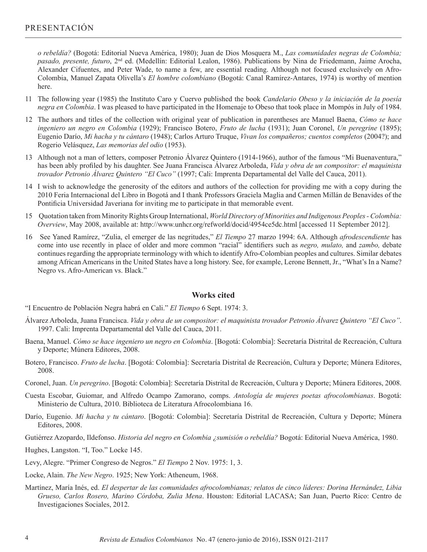*o rebeldía?* (Bogotá: Editorial Nueva América, 1980); Juan de Dios Mosquera M., *Las comunidades negras de Colombia; pasado, presente, futuro*, 2nd ed. (Medellín: Editorial Lealon, 1986). Publications by Nina de Friedemann, Jaime Arocha, Alexander Cifuentes, and Peter Wade, to name a few, are essential reading. Although not focused exclusively on Afro-Colombia, Manuel Zapata Olivella's *El hombre colombiano* (Bogotá: Canal Ramírez-Antares, 1974) is worthy of mention here.

- 11 The following year (1985) the Instituto Caro y Cuervo published the book *Candelario Obeso y la iniciación de la poesía negra en Colombia*. I was pleased to have participated in the Homenaje to Obeso that took place in Mompós in July of 1984.
- 12 The authors and titles of the collection with original year of publication in parentheses are Manuel Baena, *Cómo se hace ingeniero un negro en Colombia* (1929); Francisco Botero, *Fruto de lucha* (1931); Juan Coronel, *Un peregrine* (1895); Eugenio Darío, *Mi hacha y tu cántaro* (1948); Carlos Arturo Truque, *Vivan los compañeros; cuentos completos* (2004?); and Rogerio Velásquez, *Las memorias del odio* (1953).
- 13 Although not a man of letters, composer Petronio Álvarez Quintero (1914-1966), author of the famous "Mi Buenaventura," has been ably profiled by his daughter. See Juana Francisca Álvarez Arboleda, *Vida y obra de un compositor: el maquinista trovador Petronio Álvarez Quintero "El Cuco"* (1997; Cali: Imprenta Departamental del Valle del Cauca, 2011).
- 14 I wish to acknowledge the generosity of the editors and authors of the collection for providing me with a copy during the 2010 Feria Internacional del Libro in Bogotá and I thank Professors Graciela Maglia and Carmen Millán de Benavides of the Pontificia Universidad Javeriana for inviting me to participate in that memorable event.
- 15 Quotation taken from Minority Rights Group International, *World Directory of Minorities and Indigenous Peoples Colombia: Overview*, May 2008, available at: http://www.unhcr.org/refworld/docid/4954ce5dc.html [accessed 11 September 2012].
- 16 See Yaned Ramírez, "Zulia, el emerger de las negritudes," *El Tiempo* 27 marzo 1994: 6A. Although *afrodescendiente* has come into use recently in place of older and more common "racial" identifiers such as *negro, mulato,* and *zambo,* debate continues regarding the appropriate terminology with which to identify Afro-Colombian peoples and cultures. Similar debates among African Americans in the United States have a long history. See, for example, Lerone Bennett, Jr., "What's In a Name? Negro vs. Afro-American vs. Black."

## **Works cited**

- "I Encuentro de Población Negra habrá en Cali." *El Tiempo* 6 Sept. 1974: 3.
- Álvarez Arboleda, Juana Francisca. *Vida y obra de un compositor: el maquinista trovador Petronio Álvarez Quintero "El Cuco"*. 1997. Cali: Imprenta Departamental del Valle del Cauca, 2011.
- Baena, Manuel. *Cómo se hace ingeniero un negro en Colombia*. [Bogotá: Colombia]: Secretaría Distrital de Recreación, Cultura y Deporte; Múnera Editores, 2008.
- Botero, Francisco. *Fruto de lucha*. [Bogotá: Colombia]: Secretaría Distrital de Recreación, Cultura y Deporte; Múnera Editores, 2008.
- Coronel, Juan. *Un peregrino*. [Bogotá: Colombia]: Secretaría Distrital de Recreación, Cultura y Deporte; Múnera Editores, 2008.
- Cuesta Escobar, Guiomar, and Alfredo Ocampo Zamorano, comps. *Antología de mujeres poetas afrocolombianas*. Bogotá: Ministerio de Cultura, 2010. Biblioteca de Literatura Afrocolombiana 16.
- Darío, Eugenio. *Mi hacha y tu cántaro*. [Bogotá: Colombia]: Secretaría Distrital de Recreación, Cultura y Deporte; Múnera Editores, 2008.
- Gutiérrez Azopardo, Ildefonso. *Historia del negro en Colombia ¿sumisión o rebeldía?* Bogotá: Editorial Nueva América, 1980.
- Hughes, Langston. "I, Too." Locke 145.
- Levy, Alegre. "Primer Congreso de Negros." *El Tiempo* 2 Nov. 1975: 1, 3.
- Locke, Alain. *The New Negro*. 1925; New York: Atheneum, 1968.
- Martínez, María Inés, ed. *El despertar de las comunidades afrocolombianas; relatos de cinco líderes: Dorina Hernández, Libia Grueso, Carlos Rosero, Marino Córdoba, Zulia Mena*. Houston: Editorial LACASA; San Juan, Puerto Rico: Centro de Investigaciones Sociales, 2012.